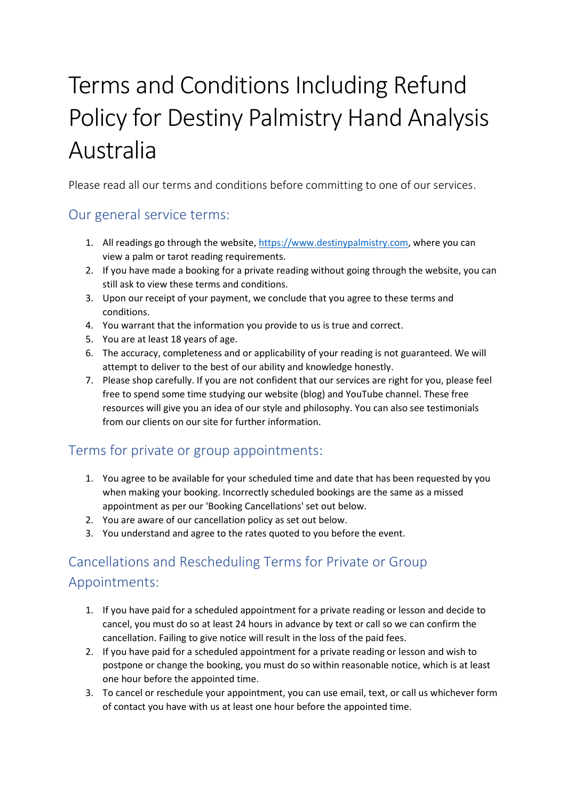# Terms and Conditions Including Refund Policy for Destiny Palmistry Hand Analysis Australia

Please read all our terms and conditions before committing to one of our services.

## Our general service terms:

- 1. All readings go through the website, [https://www.destinypalmistry.com,](https://www.destinypalmistry.com/) where you can view a palm or tarot reading requirements.
- 2. If you have made a booking for a private reading without going through the website, you can still ask to view these terms and conditions.
- 3. Upon our receipt of your payment, we conclude that you agree to these terms and conditions.
- 4. You warrant that the information you provide to us is true and correct.
- 5. You are at least 18 years of age.
- 6. The accuracy, completeness and or applicability of your reading is not guaranteed. We will attempt to deliver to the best of our ability and knowledge honestly.
- 7. Please shop carefully. If you are not confident that our services are right for you, please feel free to spend some time studying our website (blog) and YouTube channel. These free resources will give you an idea of our style and philosophy. You can also see testimonials from our clients on our site for further information.

## Terms for private or group appointments:

- 1. You agree to be available for your scheduled time and date that has been requested by you when making your booking. Incorrectly scheduled bookings are the same as a missed appointment as per our 'Booking Cancellations' set out below.
- 2. You are aware of our cancellation policy as set out below.
- 3. You understand and agree to the rates quoted to you before the event.

# Cancellations and Rescheduling Terms for Private or Group Appointments:

- 1. If you have paid for a scheduled appointment for a private reading or lesson and decide to cancel, you must do so at least 24 hours in advance by text or call so we can confirm the cancellation. Failing to give notice will result in the loss of the paid fees.
- 2. If you have paid for a scheduled appointment for a private reading or lesson and wish to postpone or change the booking, you must do so within reasonable notice, which is at least one hour before the appointed time.
- 3. To cancel or reschedule your appointment, you can use email, text, or call us whichever form of contact you have with us at least one hour before the appointed time.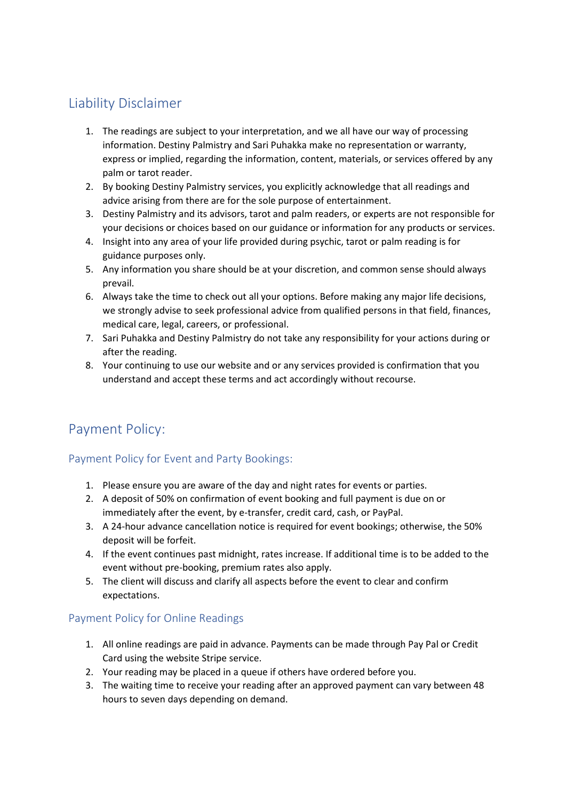## Liability Disclaimer

- 1. The readings are subject to your interpretation, and we all have our way of processing information. Destiny Palmistry and Sari Puhakka make no representation or warranty, express or implied, regarding the information, content, materials, or services offered by any palm or tarot reader.
- 2. By booking Destiny Palmistry services, you explicitly acknowledge that all readings and advice arising from there are for the sole purpose of entertainment.
- 3. Destiny Palmistry and its advisors, tarot and palm readers, or experts are not responsible for your decisions or choices based on our guidance or information for any products or services.
- 4. Insight into any area of your life provided during psychic, tarot or palm reading is for guidance purposes only.
- 5. Any information you share should be at your discretion, and common sense should always prevail.
- 6. Always take the time to check out all your options. Before making any major life decisions, we strongly advise to seek professional advice from qualified persons in that field, finances, medical care, legal, careers, or professional.
- 7. Sari Puhakka and Destiny Palmistry do not take any responsibility for your actions during or after the reading.
- 8. Your continuing to use our website and or any services provided is confirmation that you understand and accept these terms and act accordingly without recourse.

## Payment Policy:

## Payment Policy for Event and Party Bookings:

- 1. Please ensure you are aware of the day and night rates for events or parties.
- 2. A deposit of 50% on confirmation of event booking and full payment is due on or immediately after the event, by e-transfer, credit card, cash, or PayPal.
- 3. A 24-hour advance cancellation notice is required for event bookings; otherwise, the 50% deposit will be forfeit.
- 4. If the event continues past midnight, rates increase. If additional time is to be added to the event without pre-booking, premium rates also apply.
- 5. The client will discuss and clarify all aspects before the event to clear and confirm expectations.

## Payment Policy for Online Readings

- 1. All online readings are paid in advance. Payments can be made through Pay Pal or Credit Card using the website Stripe service.
- 2. Your reading may be placed in a queue if others have ordered before you.
- 3. The waiting time to receive your reading after an approved payment can vary between 48 hours to seven days depending on demand.